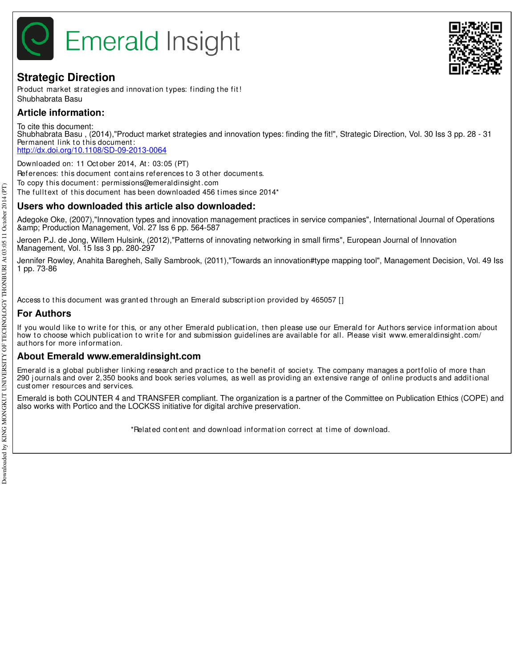

## **Strategic Direction**

Product market strategies and innovation types: finding the fit! Shubhabrata Basu

## **Article information:**

To cite this document: Shubhabrata Basu , (2014),"Product market strategies and innovation types: finding the fit!", Strategic Direction, Vol. 30 Iss 3 pp. 28 - 31 Permanent link to this document: http://dx.doi.org/10.1108/SD-09-2013-0064

Downloaded on: 11 Oct ober 2014, At : 03:05 (PT) References: this document contains references to 3 other documents. To copy t his document : permissions@emeraldinsight .com

The fulltext of this document has been downloaded 456 times since 2014\*

## **Users who downloaded this article also downloaded:**

Adegoke Oke, (2007),"Innovation types and innovation management practices in service companies", International Journal of Operations & Production Management, Vol. 27 Iss 6 pp. 564-587

Jeroen P.J. de Jong, Willem Hulsink, (2012),"Patterns of innovating networking in small firms", European Journal of Innovation Management, Vol. 15 Iss 3 pp. 280-297

Jennifer Rowley, Anahita Baregheh, Sally Sambrook, (2011),"Towards an innovation#type mapping tool", Management Decision, Vol. 49 Iss 1 pp. 73-86

Access to this document was granted through an Emerald subscription provided by 465057 []

## **For Authors**

If you would like to write for this, or any other Emerald publication, then please use our Emerald for Authors service information about how to choose which publication to write for and submission guidelines are available for all. Please visit www.emeraldinsight.com/ authors for more information.

### **About Emerald www.emeraldinsight.com**

Emerald is a global publisher linking research and practice to the benefit of society. The company manages a portfolio of more than 290 journals and over 2,350 books and book series volumes, as well as providing an extensive range of online products and additional cust omer resources and services.

Emerald is both COUNTER 4 and TRANSFER compliant. The organization is a partner of the Committee on Publication Ethics (COPE) and also works with Portico and the LOCKSS initiative for digital archive preservation.

\*Relat ed cont ent and download informat ion correct at t ime of download.

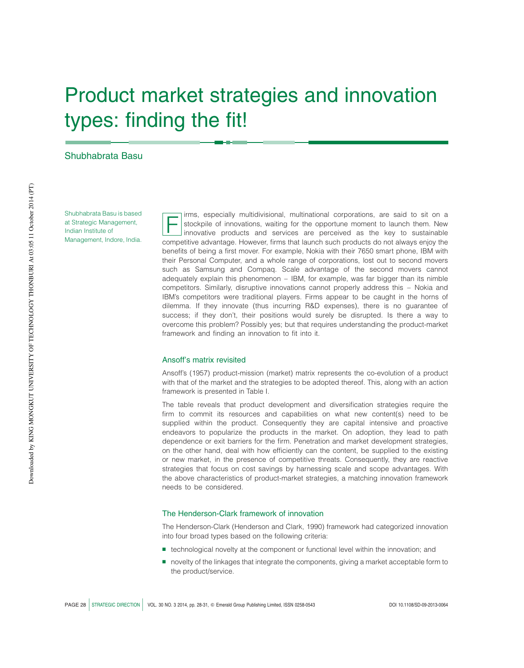# Product market strategies and innovation types: finding the fit!

#### Shubhabrata Basu

Shubhabrata Basu is based at Strategic Management, Indian Institute of Management, Indore, India.

F irms, especially multidivisional, multinational corporations, are said to sit on a stockpile of innovations, waiting for the opportune moment to launch them. New innovative products and services are perceived as the key to sustainable competitive advantage. However, firms that launch such products do not always enjoy the benefits of being a first mover. For example, Nokia with their 7650 smart phone, IBM with their Personal Computer, and a whole range of corporations, lost out to second movers such as Samsung and Compaq. Scale advantage of the second movers cannot adequately explain this phenomenon  $-$  IBM, for example, was far bigger than its nimble competitors. Similarly, disruptive innovations cannot properly address this – Nokia and IBM's competitors were traditional players. Firms appear to be caught in the horns of dilemma. If they innovate (thus incurring R&D expenses), there is no guarantee of success; if they don't, their positions would surely be disrupted. Is there a way to overcome this problem? Possibly yes; but that requires understanding the product-market framework and finding an innovation to fit into it.

#### Ansoff's matrix revisited

Ansoff's (1957) product-mission (market) matrix represents the co-evolution of a product with that of the market and the strategies to be adopted thereof. This, along with an action framework is presented in Table I.

The table reveals that product development and diversification strategies require the firm to commit its resources and capabilities on what new content(s) need to be supplied within the product. Consequently they are capital intensive and proactive endeavors to popularize the products in the market. On adoption, they lead to path dependence or exit barriers for the firm. Penetration and market development strategies, on the other hand, deal with how efficiently can the content, be supplied to the existing or new market, in the presence of competitive threats. Consequently, they are reactive strategies that focus on cost savings by harnessing scale and scope advantages. With the above characteristics of product-market strategies, a matching innovation framework needs to be considered.

#### The Henderson-Clark framework of innovation

The Henderson-Clark (Henderson and Clark, 1990) framework had categorized innovation into four broad types based on the following criteria:

- **B** technological novelty at the component or functional level within the innovation; and
- **novelty of the linkages that integrate the components, giving a market acceptable form to** the product/service.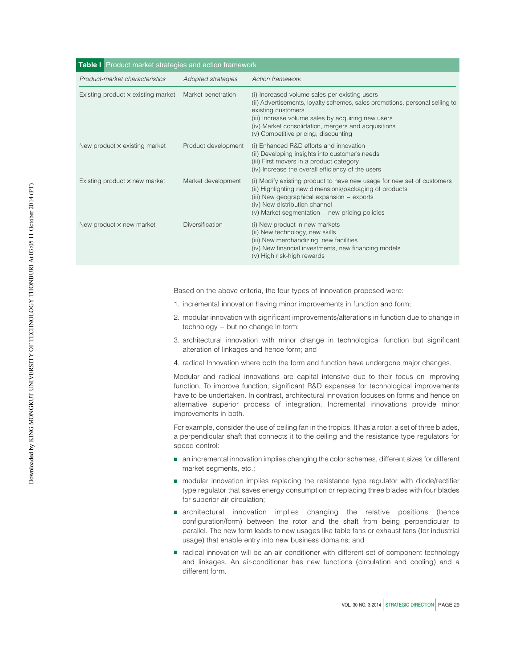| Table I Product market strategies and action framework |                        |                                                                                                                                                                                                                                                                                                         |  |
|--------------------------------------------------------|------------------------|---------------------------------------------------------------------------------------------------------------------------------------------------------------------------------------------------------------------------------------------------------------------------------------------------------|--|
| Product-market characteristics                         | Adopted strategies     | Action framework                                                                                                                                                                                                                                                                                        |  |
| Existing product x existing market                     | Market penetration     | (i) Increased volume sales per existing users<br>(ii) Advertisements, loyalty schemes, sales promotions, personal selling to<br>existing customers<br>(iii) Increase volume sales by acquiring new users<br>(iv) Market consolidation, mergers and acquisitions<br>(v) Competitive pricing, discounting |  |
| New product x existing market                          | Product development    | (i) Enhanced R&D efforts and innovation<br>(ii) Developing insights into customer's needs<br>(iii) First movers in a product category<br>(iv) Increase the overall efficiency of the users                                                                                                              |  |
| Existing product x new market                          | Market development     | (i) Modify existing product to have new usage for new set of customers<br>(ii) Highlighting new dimensions/packaging of products<br>(iii) New geographical expansion – exports<br>(iv) New distribution channel<br>(v) Market segmentation – new pricing policies                                       |  |
| New product x new market                               | <b>Diversification</b> | (i) New product in new markets<br>(ii) New technology, new skills<br>(iii) New merchandizing, new facilities<br>(iv) New financial investments, new financing models<br>(v) High risk-high rewards                                                                                                      |  |

Based on the above criteria, the four types of innovation proposed were:

- 1. incremental innovation having minor improvements in function and form;
- 2. modular innovation with significant improvements/alterations in function due to change in technology – but no change in form;
- 3. architectural innovation with minor change in technological function but significant alteration of linkages and hence form; and
- 4. radical Innovation where both the form and function have undergone major changes.

Modular and radical innovations are capital intensive due to their focus on improving function. To improve function, significant R&D expenses for technological improvements have to be undertaken. In contrast, architectural innovation focuses on forms and hence on alternative superior process of integration. Incremental innovations provide minor improvements in both.

For example, consider the use of ceiling fan in the tropics. It has a rotor, a set of three blades, a perpendicular shaft that connects it to the ceiling and the resistance type regulators for speed control:

- **B** an incremental innovation implies changing the color schemes, different sizes for different market segments, etc.;
- **B** modular innovation implies replacing the resistance type regulator with diode/rectifier type regulator that saves energy consumption or replacing three blades with four blades for superior air circulation;
- **E** architectural innovation implies changing the relative positions (hence configuration/form) between the rotor and the shaft from being perpendicular to parallel. The new form leads to new usages like table fans or exhaust fans (for industrial usage) that enable entry into new business domains; and
- **F** radical innovation will be an air conditioner with different set of component technology and linkages. An air-conditioner has new functions (circulation and cooling) and a different form.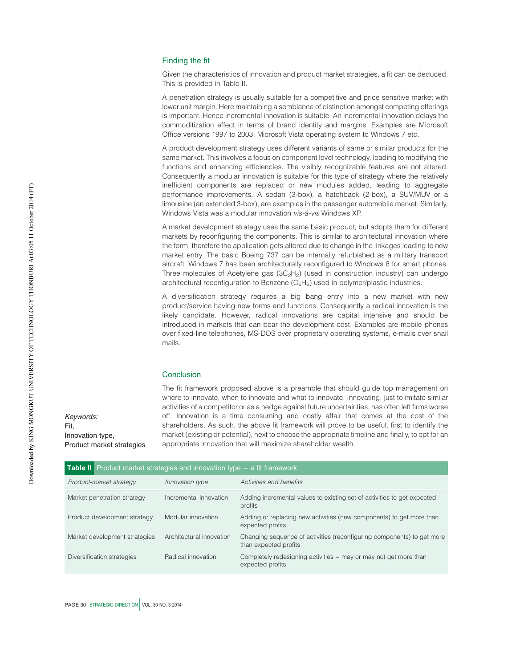#### Finding the fit

Given the characteristics of innovation and product market strategies, a fit can be deduced. This is provided in Table II.

A penetration strategy is usually suitable for a competitive and price sensitive market with lower unit margin. Here maintaining a semblance of distinction amongst competing offerings is important. Hence incremental innovation is suitable. An incremental innovation delays the commoditization effect in terms of brand identity and margins. Examples are Microsoft Office versions 1997 to 2003, Microsoft Vista operating system to Windows 7 etc.

A product development strategy uses different variants of same or similar products for the same market. This involves a focus on component level technology, leading to modifying the functions and enhancing efficiencies. The visibly recognizable features are not altered. Consequently a modular innovation is suitable for this type of strategy where the relatively inefficient components are replaced or new modules added, leading to aggregate performance improvements. A sedan (3-box), a hatchback (2-box), a SUV/MUV or a limousine (an extended 3-box), are examples in the passenger automobile market. Similarly, Windows Vista was a modular innovation vis-à-vis Windows XP.

A market development strategy uses the same basic product, but adopts them for different markets by reconfiguring the components. This is similar to architectural innovation where the form, therefore the application gets altered due to change in the linkages leading to new market entry. The basic Boeing 737 can be internally refurbished as a military transport aircraft. Windows 7 has been architecturally reconfigured to Windows 8 for smart phones. Three molecules of Acetylene gas  $(3C<sub>2</sub>H<sub>2</sub>)$  (used in construction industry) can undergo architectural reconfiguration to Benzene  $(C_6H_6)$  used in polymer/plastic industries.

A diversification strategy requires a big bang entry into a new market with new product/service having new forms and functions. Consequently a radical innovation is the likely candidate. However, radical innovations are capital intensive and should be introduced in markets that can bear the development cost. Examples are mobile phones over fixed-line telephones, MS-DOS over proprietary operating systems, e-mails over snail mails.

#### **Conclusion**

The fit framework proposed above is a preamble that should guide top management on where to innovate, when to innovate and what to innovate. Innovating, just to imitate similar activities of a competitor or as a hedge against future uncertainties, has often left firms worse off. Innovation is a time consuming and costly affair that comes at the cost of the shareholders. As such, the above fit framework will prove to be useful, first to identify the market (existing or potential), next to choose the appropriate timeline and finally, to opt for an appropriate innovation that will maximize shareholder wealth.

Keywords: Fit, Innovation type, Product market strategies

| <b>Table II</b> Product market strategies and innovation type $-$ a fit framework |                          |                                                                                                 |  |
|-----------------------------------------------------------------------------------|--------------------------|-------------------------------------------------------------------------------------------------|--|
| Product-market strategy                                                           | Innovation type          | Activities and benefits                                                                         |  |
| Market penetration strategy                                                       | Incremental innovation   | Adding incremental values to existing set of activities to get expected<br>profits              |  |
| Product development strategy                                                      | Modular innovation       | Adding or replacing new activities (new components) to get more than<br>expected profits        |  |
| Market development strategies                                                     | Architectural innovation | Changing sequence of activities (reconfiguring components) to get more<br>than expected profits |  |
| Diversification strategies                                                        | Radical innovation       | Completely redesigning activities – may or may not get more than<br>expected profits            |  |